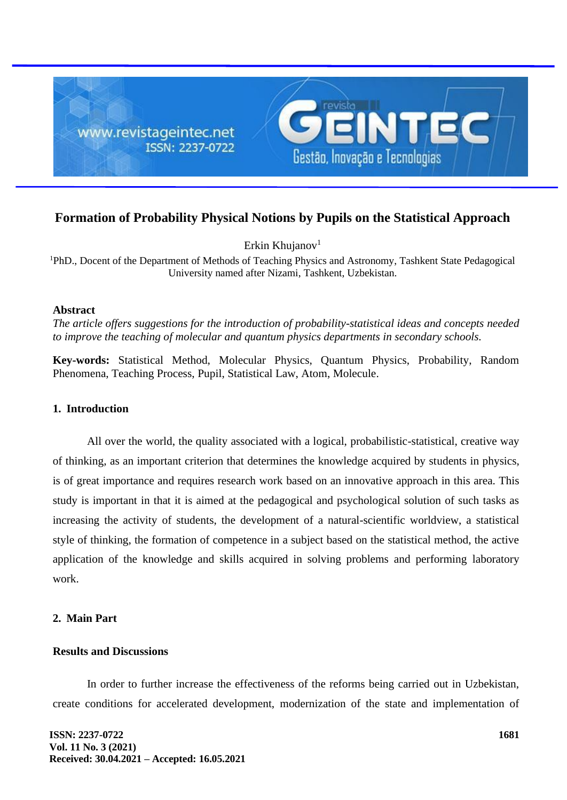

# **Formation of Probability Physical Notions by Pupils on the Statistical Approach**

Erkin Khujanov $1$ 

<sup>1</sup>PhD., Docent of the Department of Methods of Teaching Physics and Astronomy, [Tashkent State Pedagogical](https://www.facebook.com/public/Arina-Kim/school/Tashkent-State-Pedagogical-University-named-after-Nizami-142778972426030/)  [University named after Nizami,](https://www.facebook.com/public/Arina-Kim/school/Tashkent-State-Pedagogical-University-named-after-Nizami-142778972426030/) Tashkent, Uzbekistan.

#### **Abstract**

*The article offers suggestions for the introduction of probability-statistical ideas and concepts needed to improve the teaching of molecular and quantum physics departments in secondary schools.*

**Key-words:** Statistical Method, Molecular Physics, Quantum Physics, Probability, Random Phenomena, Teaching Process, Pupil, Statistical Law, Atom, Molecule.

### **1. Introduction**

All over the world, the quality associated with a logical, probabilistic-statistical, creative way of thinking, as an important criterion that determines the knowledge acquired by students in physics, is of great importance and requires research work based on an innovative approach in this area. This study is important in that it is aimed at the pedagogical and psychological solution of such tasks as increasing the activity of students, the development of a natural-scientific worldview, a statistical style of thinking, the formation of competence in a subject based on the statistical method, the active application of the knowledge and skills acquired in solving problems and performing laboratory work.

## **2. Main Part**

### **Results and Discussions**

In order to further increase the effectiveness of the reforms being carried out in Uzbekistan, create conditions for accelerated development, modernization of the state and implementation of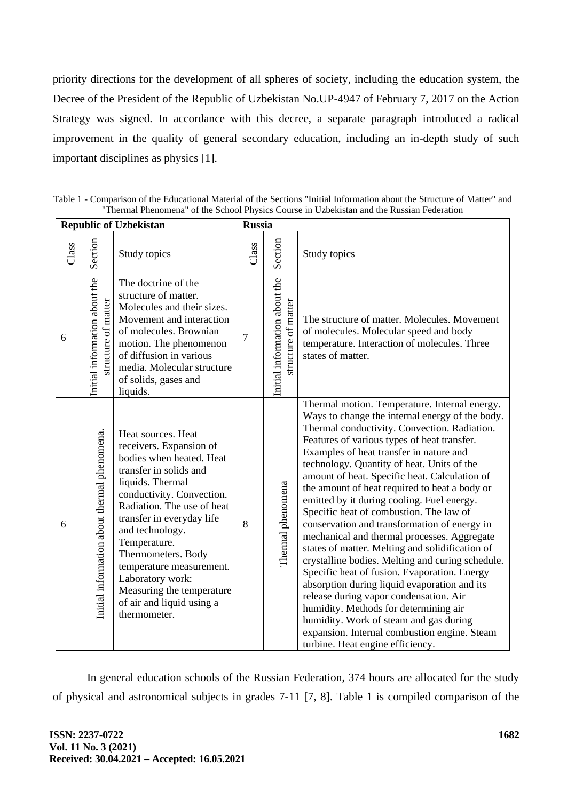priority directions for the development of all spheres of society, including the education system, the Decree of the President of the Republic of Uzbekistan No.UP-4947 of February 7, 2017 on the Action Strategy was signed. In accordance with this decree, a separate paragraph introduced a radical improvement in the quality of general secondary education, including an in-depth study of such important disciplines as physics [1].

| <b>Republic of Uzbekistan</b> |                                                      |                                                                                                                                                                                                                                                                                                                                                                                                    | <b>Russia</b>  |                                                      |                                                                                                                                                                                                                                                                                                                                                                                                                                                                                                                                                                                                                                                                                                                                                                                                                                                                                                                                                                                                            |
|-------------------------------|------------------------------------------------------|----------------------------------------------------------------------------------------------------------------------------------------------------------------------------------------------------------------------------------------------------------------------------------------------------------------------------------------------------------------------------------------------------|----------------|------------------------------------------------------|------------------------------------------------------------------------------------------------------------------------------------------------------------------------------------------------------------------------------------------------------------------------------------------------------------------------------------------------------------------------------------------------------------------------------------------------------------------------------------------------------------------------------------------------------------------------------------------------------------------------------------------------------------------------------------------------------------------------------------------------------------------------------------------------------------------------------------------------------------------------------------------------------------------------------------------------------------------------------------------------------------|
| Class                         | Section                                              | Study topics                                                                                                                                                                                                                                                                                                                                                                                       | Class          | Section                                              | Study topics                                                                                                                                                                                                                                                                                                                                                                                                                                                                                                                                                                                                                                                                                                                                                                                                                                                                                                                                                                                               |
| 6                             | Initial information about the<br>structure of matter | The doctrine of the<br>structure of matter.<br>Molecules and their sizes.<br>Movement and interaction<br>of molecules. Brownian<br>motion. The phenomenon<br>of diffusion in various<br>media. Molecular structure<br>of solids, gases and<br>liquids.                                                                                                                                             | $\overline{7}$ | Initial information about the<br>structure of matter | The structure of matter. Molecules. Movement<br>of molecules. Molecular speed and body<br>temperature. Interaction of molecules. Three<br>states of matter.                                                                                                                                                                                                                                                                                                                                                                                                                                                                                                                                                                                                                                                                                                                                                                                                                                                |
| 6                             | Initial information about thermal phenomena.         | Heat sources. Heat<br>receivers. Expansion of<br>bodies when heated. Heat<br>transfer in solids and<br>liquids. Thermal<br>conductivity. Convection.<br>Radiation. The use of heat<br>transfer in everyday life<br>and technology.<br>Temperature.<br>Thermometers. Body<br>temperature measurement.<br>Laboratory work:<br>Measuring the temperature<br>of air and liquid using a<br>thermometer. | 8              | Thermal phenomena                                    | Thermal motion. Temperature. Internal energy.<br>Ways to change the internal energy of the body.<br>Thermal conductivity. Convection. Radiation.<br>Features of various types of heat transfer.<br>Examples of heat transfer in nature and<br>technology. Quantity of heat. Units of the<br>amount of heat. Specific heat. Calculation of<br>the amount of heat required to heat a body or<br>emitted by it during cooling. Fuel energy.<br>Specific heat of combustion. The law of<br>conservation and transformation of energy in<br>mechanical and thermal processes. Aggregate<br>states of matter. Melting and solidification of<br>crystalline bodies. Melting and curing schedule.<br>Specific heat of fusion. Evaporation. Energy<br>absorption during liquid evaporation and its<br>release during vapor condensation. Air<br>humidity. Methods for determining air<br>humidity. Work of steam and gas during<br>expansion. Internal combustion engine. Steam<br>turbine. Heat engine efficiency. |

Table 1 - Comparison of the Educational Material of the Sections "Initial Information about the Structure of Matter" and "Thermal Phenomena" of the School Physics Course in Uzbekistan and the Russian Federation

In general education schools of the Russian Federation, 374 hours are allocated for the study of physical and astronomical subjects in grades 7-11 [7, 8]. Table 1 is compiled comparison of the

٦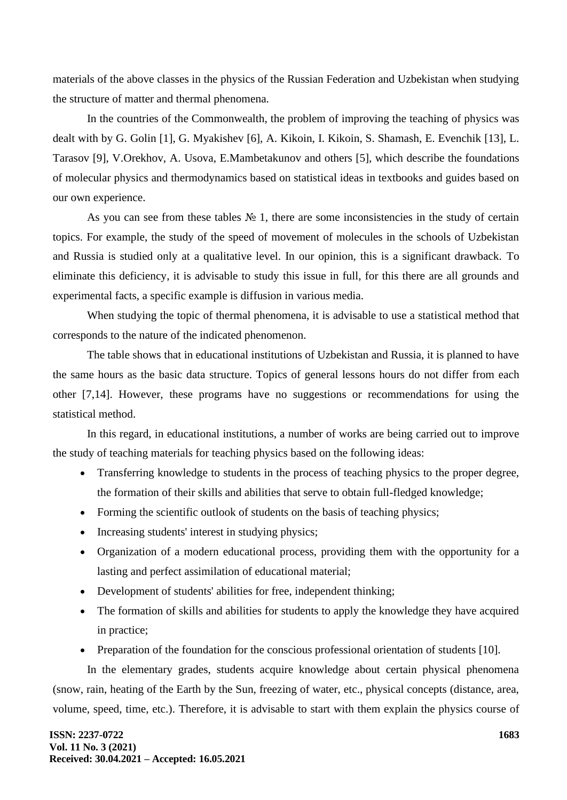materials of the above classes in the physics of the Russian Federation and Uzbekistan when studying the structure of matter and thermal phenomena.

In the countries of the Commonwealth, the problem of improving the teaching of physics was dealt with by G. Golin [1], G. Myakishev [6], A. Kikoin, I. Kikoin, S. Shamash, E. Evenchik [13], L. Tarasov [9], V.Orekhov, A. Usova, E.Mambetakunov and others [5], which describe the foundations of molecular physics and thermodynamics based on statistical ideas in textbooks and guides based on our own experience.

As you can see from these tables  $\mathcal{N}_2$  1, there are some inconsistencies in the study of certain topics. For example, the study of the speed of movement of molecules in the schools of Uzbekistan and Russia is studied only at a qualitative level. In our opinion, this is a significant drawback. To eliminate this deficiency, it is advisable to study this issue in full, for this there are all grounds and experimental facts, a specific example is diffusion in various media.

When studying the topic of thermal phenomena, it is advisable to use a statistical method that corresponds to the nature of the indicated phenomenon.

The table shows that in educational institutions of Uzbekistan and Russia, it is planned to have the same hours as the basic data structure. Topics of general lessons hours do not differ from each other [7,14]. However, these programs have no suggestions or recommendations for using the statistical method.

In this regard, in educational institutions, a number of works are being carried out to improve the study of teaching materials for teaching physics based on the following ideas:

- Transferring knowledge to students in the process of teaching physics to the proper degree, the formation of their skills and abilities that serve to obtain full-fledged knowledge;
- Forming the scientific outlook of students on the basis of teaching physics;
- Increasing students' interest in studying physics;
- Organization of a modern educational process, providing them with the opportunity for a lasting and perfect assimilation of educational material;
- Development of students' abilities for free, independent thinking;
- The formation of skills and abilities for students to apply the knowledge they have acquired in practice;
- Preparation of the foundation for the conscious professional orientation of students [10].

In the elementary grades, students acquire knowledge about certain physical phenomena (snow, rain, heating of the Earth by the Sun, freezing of water, etc., physical concepts (distance, area, volume, speed, time, etc.). Therefore, it is advisable to start with them explain the physics course of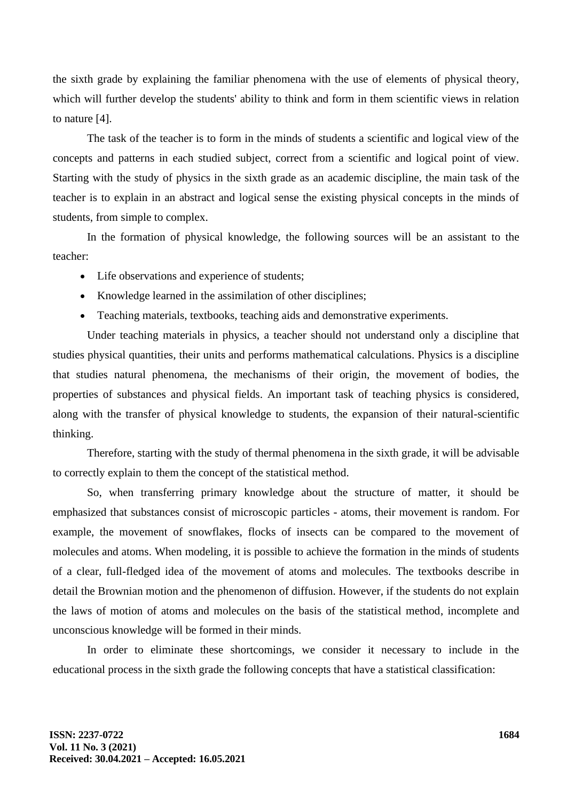the sixth grade by explaining the familiar phenomena with the use of elements of physical theory, which will further develop the students' ability to think and form in them scientific views in relation to nature [4].

The task of the teacher is to form in the minds of students a scientific and logical view of the concepts and patterns in each studied subject, correct from a scientific and logical point of view. Starting with the study of physics in the sixth grade as an academic discipline, the main task of the teacher is to explain in an abstract and logical sense the existing physical concepts in the minds of students, from simple to complex.

In the formation of physical knowledge, the following sources will be an assistant to the teacher:

- Life observations and experience of students;
- Knowledge learned in the assimilation of other disciplines;
- Teaching materials, textbooks, teaching aids and demonstrative experiments.

Under teaching materials in physics, a teacher should not understand only a discipline that studies physical quantities, their units and performs mathematical calculations. Physics is a discipline that studies natural phenomena, the mechanisms of their origin, the movement of bodies, the properties of substances and physical fields. An important task of teaching physics is considered, along with the transfer of physical knowledge to students, the expansion of their natural-scientific thinking.

Therefore, starting with the study of thermal phenomena in the sixth grade, it will be advisable to correctly explain to them the concept of the statistical method.

So, when transferring primary knowledge about the structure of matter, it should be emphasized that substances consist of microscopic particles - atoms, their movement is random. For example, the movement of snowflakes, flocks of insects can be compared to the movement of molecules and atoms. When modeling, it is possible to achieve the formation in the minds of students of a clear, full-fledged idea of the movement of atoms and molecules. The textbooks describe in detail the Brownian motion and the phenomenon of diffusion. However, if the students do not explain the laws of motion of atoms and molecules on the basis of the statistical method, incomplete and unconscious knowledge will be formed in their minds.

In order to eliminate these shortcomings, we consider it necessary to include in the educational process in the sixth grade the following concepts that have a statistical classification: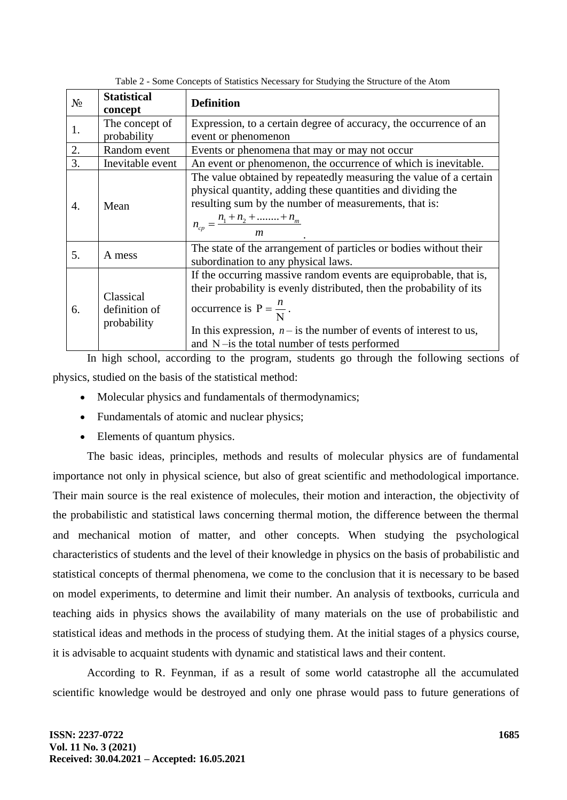| $N_2$ | <b>Statistical</b><br>concept             | <b>Definition</b>                                                                                                                                                                                                                                                                                         |
|-------|-------------------------------------------|-----------------------------------------------------------------------------------------------------------------------------------------------------------------------------------------------------------------------------------------------------------------------------------------------------------|
| 1.    | The concept of<br>probability             | Expression, to a certain degree of accuracy, the occurrence of an<br>event or phenomenon                                                                                                                                                                                                                  |
| 2.    | Random event                              | Events or phenomena that may or may not occur                                                                                                                                                                                                                                                             |
| 3.    | Inevitable event                          | An event or phenomenon, the occurrence of which is inevitable.                                                                                                                                                                                                                                            |
| 4.    | Mean                                      | The value obtained by repeatedly measuring the value of a certain<br>physical quantity, adding these quantities and dividing the<br>resulting sum by the number of measurements, that is:<br>$n_{cp} = \frac{n_1 + n_2 + \dots + n_m}{n}$                                                                 |
| 5.    | A mess                                    | The state of the arrangement of particles or bodies without their<br>subordination to any physical laws.                                                                                                                                                                                                  |
| 6.    | Classical<br>definition of<br>probability | If the occurring massive random events are equiprobable, that is,<br>their probability is evenly distributed, then the probability of its<br>occurrence is $P = \frac{n}{N}$ .<br>In this expression, $n -$ is the number of events of interest to us,<br>and $N$ -is the total number of tests performed |

Table 2 - Some Concepts of Statistics Necessary for Studying the Structure of the Atom

In high school, according to the program, students go through the following sections of physics, studied on the basis of the statistical method:

- Molecular physics and fundamentals of thermodynamics;
- Fundamentals of atomic and nuclear physics;
- Elements of quantum physics.

The basic ideas, principles, methods and results of molecular physics are of fundamental importance not only in physical science, but also of great scientific and methodological importance. Their main source is the real existence of molecules, their motion and interaction, the objectivity of the probabilistic and statistical laws concerning thermal motion, the difference between the thermal and mechanical motion of matter, and other concepts. When studying the psychological characteristics of students and the level of their knowledge in physics on the basis of probabilistic and statistical concepts of thermal phenomena, we come to the conclusion that it is necessary to be based on model experiments, to determine and limit their number. An analysis of textbooks, curricula and teaching aids in physics shows the availability of many materials on the use of probabilistic and statistical ideas and methods in the process of studying them. At the initial stages of a physics course, it is advisable to acquaint students with dynamic and statistical laws and their content.

According to R. Feynman, if as a result of some world catastrophe all the accumulated scientific knowledge would be destroyed and only one phrase would pass to future generations of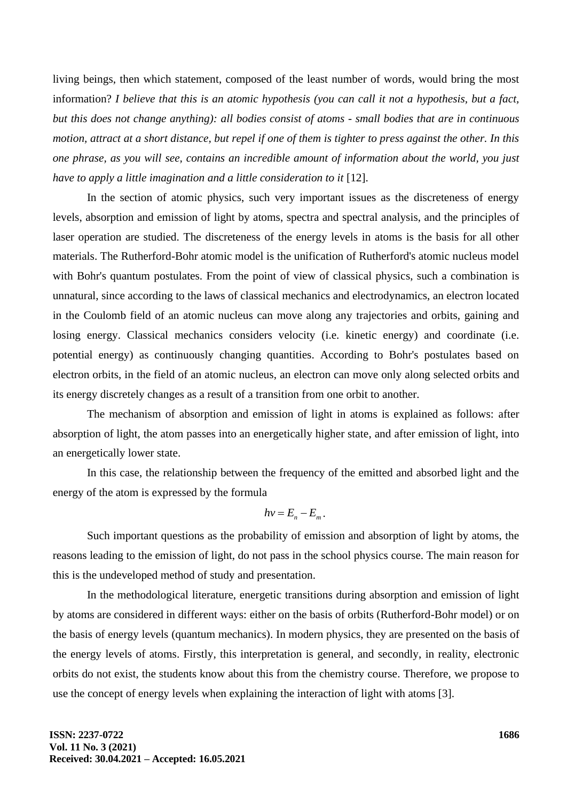living beings, then which statement, composed of the least number of words, would bring the most information? *I believe that this is an atomic hypothesis (you can call it not a hypothesis, but a fact, but this does not change anything): all bodies consist of atoms - small bodies that are in continuous motion, attract at a short distance, but repel if one of them is tighter to press against the other. In this one phrase, as you will see, contains an incredible amount of information about the world, you just have to apply a little imagination and a little consideration to it* [12].

In the section of atomic physics, such very important issues as the discreteness of energy levels, absorption and emission of light by atoms, spectra and spectral analysis, and the principles of laser operation are studied. The discreteness of the energy levels in atoms is the basis for all other materials. The Rutherford-Bohr atomic model is the unification of Rutherford's atomic nucleus model with Bohr's quantum postulates. From the point of view of classical physics, such a combination is unnatural, since according to the laws of classical mechanics and electrodynamics, an electron located in the Coulomb field of an atomic nucleus can move along any trajectories and orbits, gaining and losing energy. Classical mechanics considers velocity (i.e. kinetic energy) and coordinate (i.e. potential energy) as continuously changing quantities. According to Bohr's postulates based on electron orbits, in the field of an atomic nucleus, an electron can move only along selected orbits and its energy discretely changes as a result of a transition from one orbit to another.

The mechanism of absorption and emission of light in atoms is explained as follows: after absorption of light, the atom passes into an energetically higher state, and after emission of light, into an energetically lower state.

In this case, the relationship between the frequency of the emitted and absorbed light and the energy of the atom is expressed by the formula

$$
h\nu = E_n - E_m.
$$

Such important questions as the probability of emission and absorption of light by atoms, the reasons leading to the emission of light, do not pass in the school physics course. The main reason for this is the undeveloped method of study and presentation.

In the methodological literature, energetic transitions during absorption and emission of light by atoms are considered in different ways: either on the basis of orbits (Rutherford-Bohr model) or on the basis of energy levels (quantum mechanics). In modern physics, they are presented on the basis of the energy levels of atoms. Firstly, this interpretation is general, and secondly, in reality, electronic orbits do not exist, the students know about this from the chemistry course. Therefore, we propose to use the concept of energy levels when explaining the interaction of light with atoms [3].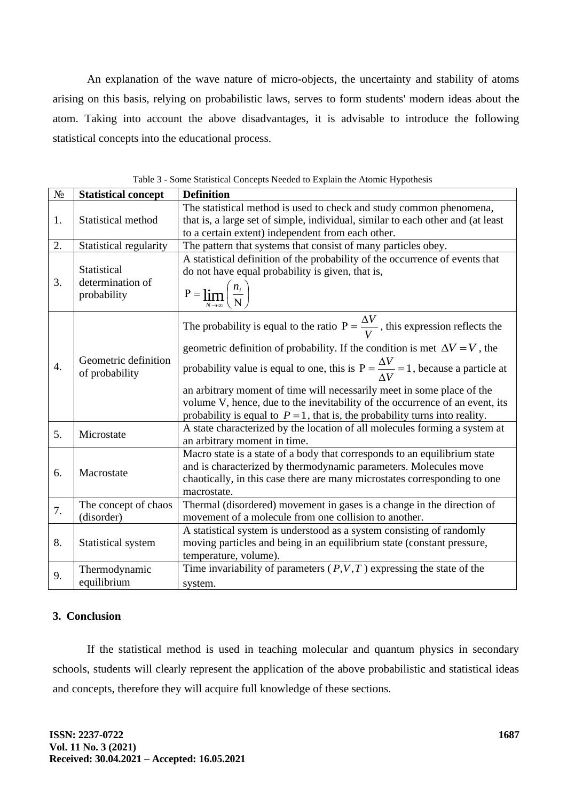An explanation of the wave nature of micro-objects, the uncertainty and stability of atoms arising on this basis, relying on probabilistic laws, serves to form students' modern ideas about the atom. Taking into account the above disadvantages, it is advisable to introduce the following statistical concepts into the educational process.

| $N_{\!\underline{0}}$ | <b>Statistical concept</b>             | <b>Definition</b>                                                                                          |  |  |
|-----------------------|----------------------------------------|------------------------------------------------------------------------------------------------------------|--|--|
|                       |                                        | The statistical method is used to check and study common phenomena,                                        |  |  |
| 1.                    | Statistical method                     | that is, a large set of simple, individual, similar to each other and (at least                            |  |  |
|                       |                                        | to a certain extent) independent from each other.                                                          |  |  |
| 2.                    | Statistical regularity                 | The pattern that systems that consist of many particles obey.                                              |  |  |
|                       |                                        | A statistical definition of the probability of the occurrence of events that                               |  |  |
|                       | Statistical                            | do not have equal probability is given, that is,                                                           |  |  |
| 3.                    | determination of<br>probability        | $P = \lim_{N \to \infty} \left( \frac{n_i}{N} \right)$                                                     |  |  |
|                       |                                        | The probability is equal to the ratio $P = \frac{\Delta V}{V}$ , this expression reflects the              |  |  |
| $\overline{4}$ .      | Geometric definition<br>of probability | geometric definition of probability. If the condition is met $\Delta V = V$ , the                          |  |  |
|                       |                                        | probability value is equal to one, this is $P = \frac{\Delta V}{\Delta V} = 1$ , because a particle at     |  |  |
|                       |                                        | an arbitrary moment of time will necessarily meet in some place of the                                     |  |  |
|                       |                                        | volume V, hence, due to the inevitability of the occurrence of an event, its                               |  |  |
|                       |                                        | probability is equal to $P = 1$ , that is, the probability turns into reality.                             |  |  |
| 5.                    | Microstate                             | A state characterized by the location of all molecules forming a system at<br>an arbitrary moment in time. |  |  |
|                       |                                        | Macro state is a state of a body that corresponds to an equilibrium state                                  |  |  |
| 6.                    | Macrostate                             | and is characterized by thermodynamic parameters. Molecules move                                           |  |  |
|                       |                                        | chaotically, in this case there are many microstates corresponding to one                                  |  |  |
|                       |                                        | macrostate.                                                                                                |  |  |
| 7.                    | The concept of chaos                   | Thermal (disordered) movement in gases is a change in the direction of                                     |  |  |
|                       | (disorder)                             | movement of a molecule from one collision to another.                                                      |  |  |
|                       |                                        | A statistical system is understood as a system consisting of randomly                                      |  |  |
| 8.                    | Statistical system                     | moving particles and being in an equilibrium state (constant pressure,                                     |  |  |
|                       |                                        | temperature, volume).                                                                                      |  |  |
| 9.                    | Thermodynamic                          | Time invariability of parameters $(P, V, T)$ expressing the state of the                                   |  |  |
|                       | equilibrium                            | system.                                                                                                    |  |  |

Table 3 - Some Statistical Concepts Needed to Explain the Atomic Hypothesis

## **3. Conclusion**

If the statistical method is used in teaching molecular and quantum physics in secondary schools, students will clearly represent the application of the above probabilistic and statistical ideas and concepts, therefore they will acquire full knowledge of these sections.